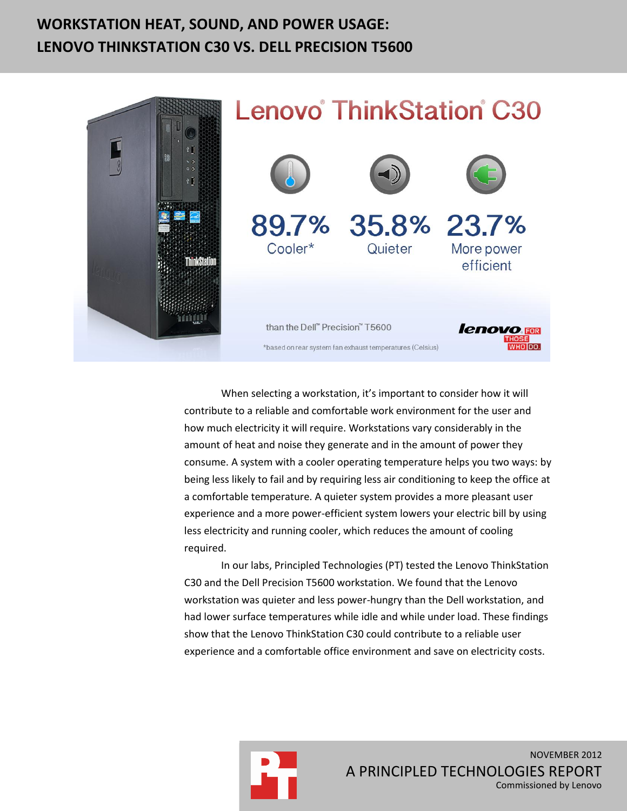# **WORKSTATION HEAT, SOUND, AND POWER USAGE: LENOVO THINKSTATION C30 VS. DELL PRECISION T5600**



When selecting a workstation, it's important to consider how it will contribute to a reliable and comfortable work environment for the user and how much electricity it will require. Workstations vary considerably in the amount of heat and noise they generate and in the amount of power they consume. A system with a cooler operating temperature helps you two ways: by being less likely to fail and by requiring less air conditioning to keep the office at a comfortable temperature. A quieter system provides a more pleasant user experience and a more power-efficient system lowers your electric bill by using less electricity and running cooler, which reduces the amount of cooling required.

In our labs, Principled Technologies (PT) tested the Lenovo ThinkStation C30 and the Dell Precision T5600 workstation. We found that the Lenovo workstation was quieter and less power-hungry than the Dell workstation, and had lower surface temperatures while idle and while under load. These findings show that the Lenovo ThinkStation C30 could contribute to a reliable user experience and a comfortable office environment and save on electricity costs.

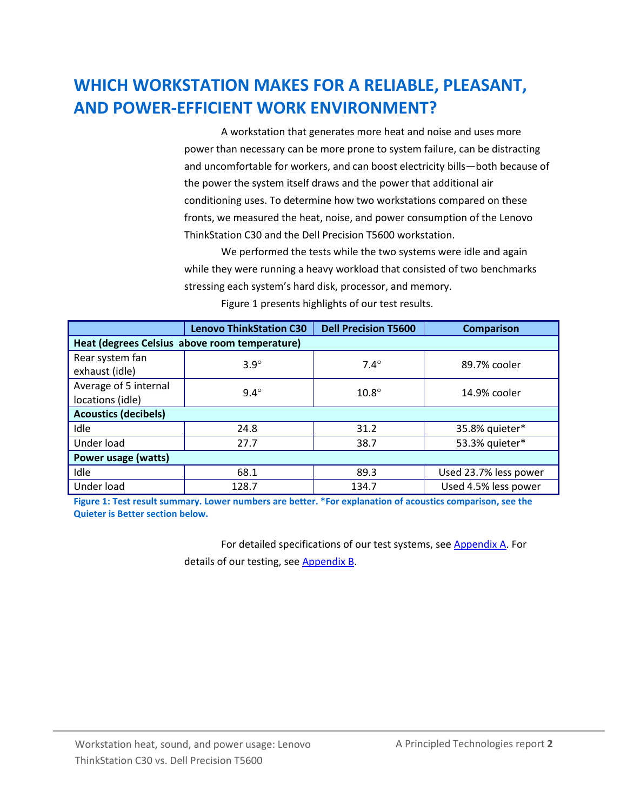# **WHICH WORKSTATION MAKES FOR A RELIABLE, PLEASANT, AND POWER-EFFICIENT WORK ENVIRONMENT?**

A workstation that generates more heat and noise and uses more power than necessary can be more prone to system failure, can be distracting and uncomfortable for workers, and can boost electricity bills—both because of the power the system itself draws and the power that additional air conditioning uses. To determine how two workstations compared on these fronts, we measured the heat, noise, and power consumption of the Lenovo ThinkStation C30 and the Dell Precision T5600 workstation.

We performed the tests while the two systems were idle and again while they were running a heavy workload that consisted of two benchmarks stressing each system's hard disk, processor, and memory.

|                                               | <b>Lenovo ThinkStation C30</b> | <b>Dell Precision T5600</b> | <b>Comparison</b>     |  |  |
|-----------------------------------------------|--------------------------------|-----------------------------|-----------------------|--|--|
| Heat (degrees Celsius above room temperature) |                                |                             |                       |  |  |
| Rear system fan<br>exhaust (idle)             | $3.9^\circ$                    | $7.4^\circ$                 | 89.7% cooler          |  |  |
| Average of 5 internal<br>locations (idle)     | $9.4^\circ$                    | $10.8^\circ$                | 14.9% cooler          |  |  |
| <b>Acoustics (decibels)</b>                   |                                |                             |                       |  |  |
| Idle                                          | 24.8                           | 31.2                        | 35.8% quieter*        |  |  |
| Under load                                    | 27.7                           | 38.7                        | 53.3% quieter*        |  |  |
| Power usage (watts)                           |                                |                             |                       |  |  |
| Idle                                          | 68.1                           | 89.3                        | Used 23.7% less power |  |  |
| Under load                                    | 128.7                          | 134.7                       | Used 4.5% less power  |  |  |

Figure 1 presents highlights of our test results.

**Figure 1: Test result summary. Lower numbers are better. \*For explanation of acoustics comparison, see the Quieter is Better section below.**

> For detailed specifications of our test systems, see [Appendix A.](#page-5-0) For details of our testing, see [Appendix B.](#page-8-0)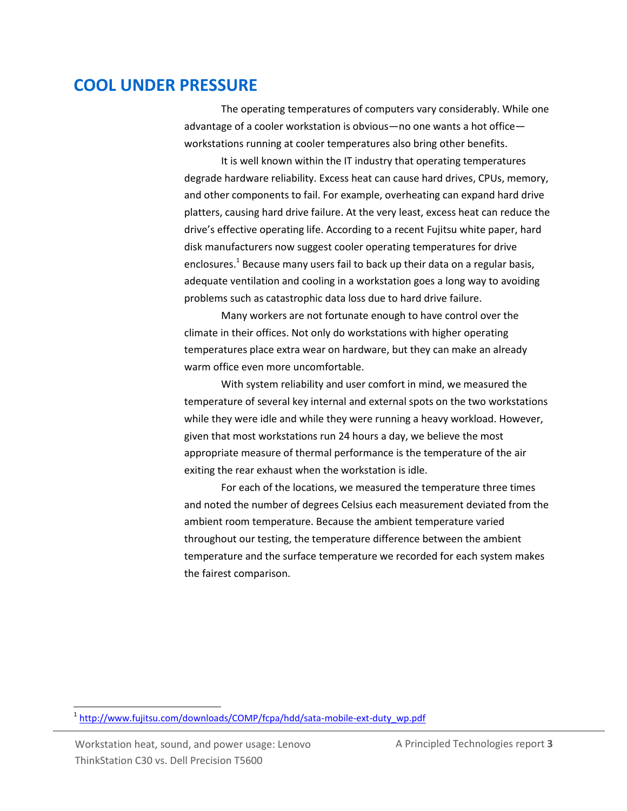### **COOL UNDER PRESSURE**

The operating temperatures of computers vary considerably. While one advantage of a cooler workstation is obvious—no one wants a hot office workstations running at cooler temperatures also bring other benefits.

It is well known within the IT industry that operating temperatures degrade hardware reliability. Excess heat can cause hard drives, CPUs, memory, and other components to fail. For example, overheating can expand hard drive platters, causing hard drive failure. At the very least, excess heat can reduce the drive's effective operating life. According to a recent Fujitsu white paper, hard disk manufacturers now suggest cooler operating temperatures for drive enclosures.<sup>1</sup> Because many users fail to back up their data on a regular basis, adequate ventilation and cooling in a workstation goes a long way to avoiding problems such as catastrophic data loss due to hard drive failure.

Many workers are not fortunate enough to have control over the climate in their offices. Not only do workstations with higher operating temperatures place extra wear on hardware, but they can make an already warm office even more uncomfortable.

With system reliability and user comfort in mind, we measured the temperature of several key internal and external spots on the two workstations while they were idle and while they were running a heavy workload. However, given that most workstations run 24 hours a day, we believe the most appropriate measure of thermal performance is the temperature of the air exiting the rear exhaust when the workstation is idle.

For each of the locations, we measured the temperature three times and noted the number of degrees Celsius each measurement deviated from the ambient room temperature. Because the ambient temperature varied throughout our testing, the temperature difference between the ambient temperature and the surface temperature we recorded for each system makes the fairest comparison.

<sup>&</sup>lt;sup>1</sup> [http://www.fujitsu.com/downloads/COMP/fcpa/hdd/sata-mobile-ext-duty\\_wp.pdf](http://www.fujitsu.com/downloads/COMP/fcpa/hdd/sata-mobile-ext-duty_wp.pdf)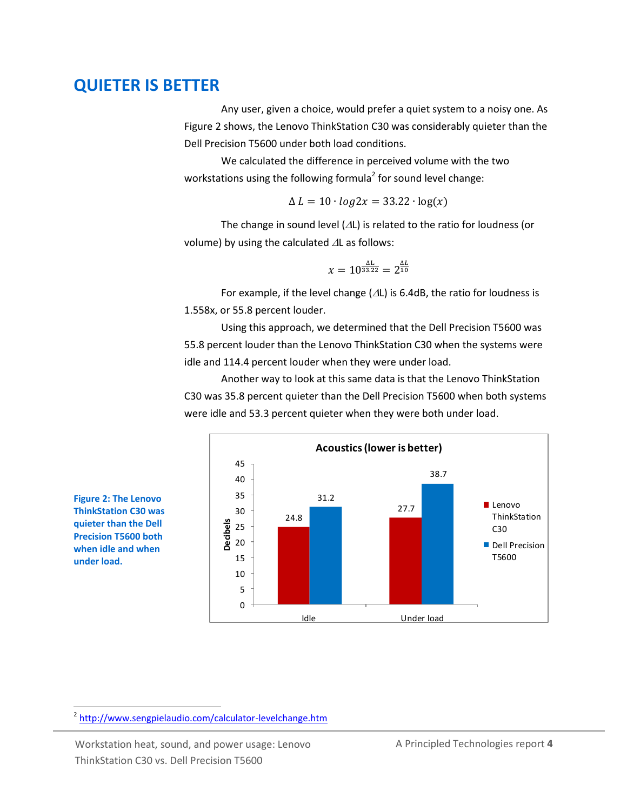### **QUIETER IS BETTER**

Any user, given a choice, would prefer a quiet system to a noisy one. As Figure 2 shows, the Lenovo ThinkStation C30 was considerably quieter than the Dell Precision T5600 under both load conditions.

We calculated the difference in perceived volume with the two workstations using the following formula<sup>2</sup> for sound level change:

$$
\Delta L = 10 \cdot \log 2x = 33.22 \cdot \log(x)
$$

The change in sound level  $(\Delta L)$  is related to the ratio for loudness (or volume) by using the calculated  $\Delta L$  as follows:

$$
x=10^{\frac{\Delta L}{33.22}}=2^{\frac{\Delta L}{10}}
$$

For example, if the level change ( $\Delta L$ ) is 6.4dB, the ratio for loudness is 1.558x, or 55.8 percent louder.

Using this approach, we determined that the Dell Precision T5600 was 55.8 percent louder than the Lenovo ThinkStation C30 when the systems were idle and 114.4 percent louder when they were under load.

Another way to look at this same data is that the Lenovo ThinkStation C30 was 35.8 percent quieter than the Dell Precision T5600 when both systems were idle and 53.3 percent quieter when they were both under load.





 $\overline{a}$ 

<sup>&</sup>lt;sup>2</sup> <http://www.sengpielaudio.com/calculator-levelchange.htm>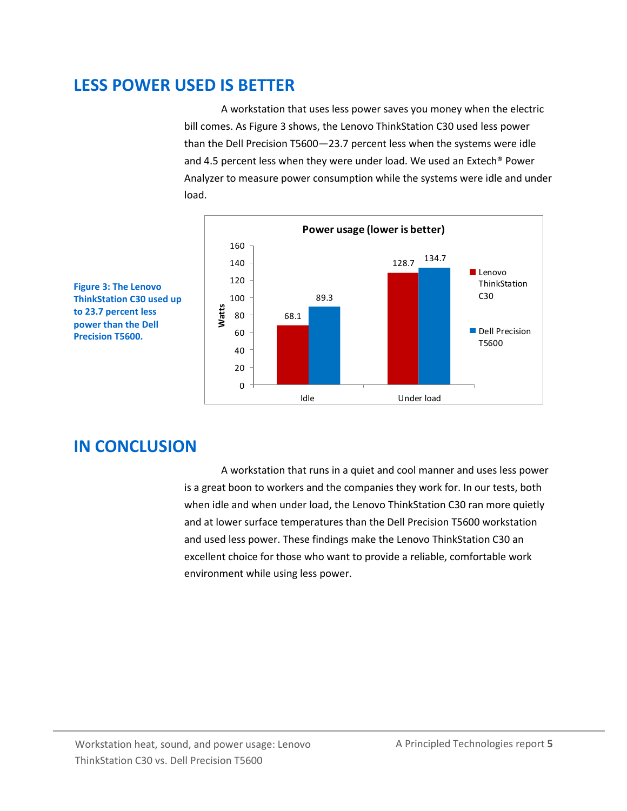### **LESS POWER USED IS BETTER**

A workstation that uses less power saves you money when the electric bill comes. As Figure 3 shows, the Lenovo ThinkStation C30 used less power than the Dell Precision T5600—23.7 percent less when the systems were idle and 4.5 percent less when they were under load. We used an Extech® Power Analyzer to measure power consumption while the systems were idle and under load.



**Figure 3: The Lenovo ThinkStation C30 used up to 23.7 percent less power than the Dell Precision T5600.**

## **IN CONCLUSION**

A workstation that runs in a quiet and cool manner and uses less power is a great boon to workers and the companies they work for. In our tests, both when idle and when under load, the Lenovo ThinkStation C30 ran more quietly and at lower surface temperatures than the Dell Precision T5600 workstation and used less power. These findings make the Lenovo ThinkStation C30 an excellent choice for those who want to provide a reliable, comfortable work environment while using less power.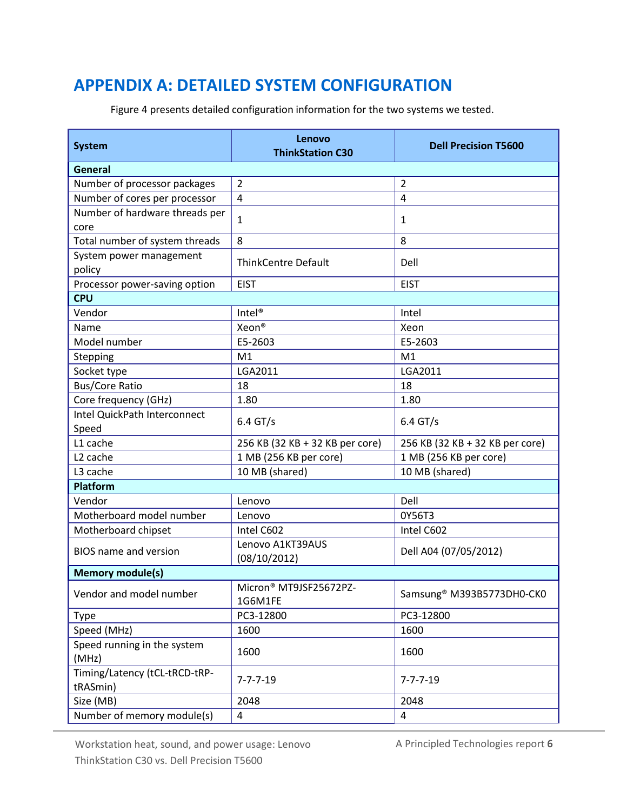## <span id="page-5-0"></span>**APPENDIX A: DETAILED SYSTEM CONFIGURATION**

Figure 4 presents detailed configuration information for the two systems we tested.

| <b>System</b>                             | Lenovo<br><b>ThinkStation C30</b> | <b>Dell Precision T5600</b>           |  |  |  |
|-------------------------------------------|-----------------------------------|---------------------------------------|--|--|--|
| <b>General</b>                            |                                   |                                       |  |  |  |
| Number of processor packages              | $\overline{2}$                    | $\overline{2}$                        |  |  |  |
| Number of cores per processor             | $\overline{4}$                    | $\overline{4}$                        |  |  |  |
| Number of hardware threads per<br>core    | $\mathbf{1}$                      | 1                                     |  |  |  |
| Total number of system threads            | 8                                 | 8                                     |  |  |  |
| System power management<br>policy         | <b>ThinkCentre Default</b>        | Dell                                  |  |  |  |
| Processor power-saving option             | <b>EIST</b>                       | <b>EIST</b>                           |  |  |  |
| <b>CPU</b>                                |                                   |                                       |  |  |  |
| Vendor                                    | Intel <sup>®</sup>                | Intel                                 |  |  |  |
| Name                                      | Xeon <sup>®</sup>                 | Xeon                                  |  |  |  |
| Model number                              | E5-2603                           | E5-2603                               |  |  |  |
| Stepping                                  | M1                                | M1                                    |  |  |  |
| Socket type                               | LGA2011                           | LGA2011                               |  |  |  |
| <b>Bus/Core Ratio</b>                     | 18                                | 18                                    |  |  |  |
| Core frequency (GHz)                      | 1.80                              | 1.80                                  |  |  |  |
| Intel QuickPath Interconnect<br>Speed     | $6.4$ GT/s                        | $6.4$ GT/s                            |  |  |  |
| L1 cache                                  | 256 KB (32 KB + 32 KB per core)   | 256 KB (32 KB + 32 KB per core)       |  |  |  |
| L <sub>2</sub> cache                      | 1 MB (256 KB per core)            | 1 MB (256 KB per core)                |  |  |  |
| L3 cache                                  | 10 MB (shared)                    | 10 MB (shared)                        |  |  |  |
| Platform                                  |                                   |                                       |  |  |  |
| Vendor                                    | Lenovo                            | Dell                                  |  |  |  |
| Motherboard model number                  | Lenovo                            | 0Y56T3                                |  |  |  |
| Motherboard chipset                       | Intel C602                        | Intel C602                            |  |  |  |
| <b>BIOS</b> name and version              | Lenovo A1KT39AUS<br>(08/10/2012)  | Dell A04 (07/05/2012)                 |  |  |  |
| <b>Memory module(s)</b>                   |                                   |                                       |  |  |  |
| Vendor and model number                   | Micron® MT9JSF25672PZ-<br>1G6M1FE | Samsung <sup>®</sup> M393B5773DH0-CK0 |  |  |  |
| <b>Type</b>                               | PC3-12800                         | PC3-12800                             |  |  |  |
| Speed (MHz)                               | 1600                              | 1600                                  |  |  |  |
| Speed running in the system<br>(MHz)      | 1600                              | 1600                                  |  |  |  |
| Timing/Latency (tCL-tRCD-tRP-<br>tRASmin) | $7 - 7 - 7 - 19$                  | $7 - 7 - 7 - 19$                      |  |  |  |
| Size (MB)                                 | 2048                              | 2048                                  |  |  |  |
| Number of memory module(s)                | $\overline{\mathbf{4}}$           | $\overline{4}$                        |  |  |  |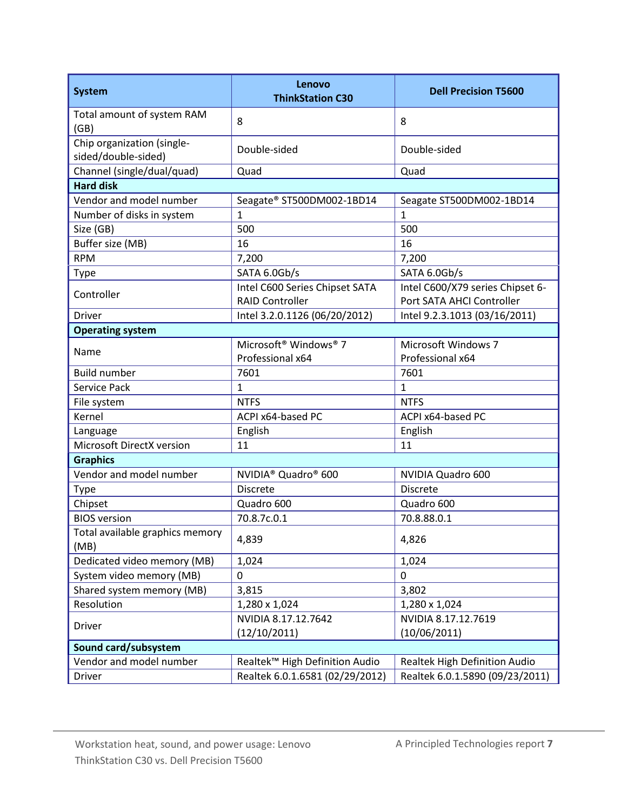| <b>System</b>                                     | Lenovo<br><b>ThinkStation C30</b>             | <b>Dell Precision T5600</b>      |  |  |
|---------------------------------------------------|-----------------------------------------------|----------------------------------|--|--|
| Total amount of system RAM<br>(GB)                | 8                                             | 8                                |  |  |
| Chip organization (single-<br>sided/double-sided) | Double-sided                                  | Double-sided                     |  |  |
| Channel (single/dual/quad)                        | Quad                                          | Quad                             |  |  |
| <b>Hard disk</b>                                  |                                               |                                  |  |  |
| Vendor and model number                           | Seagate® ST500DM002-1BD14                     | Seagate ST500DM002-1BD14         |  |  |
| Number of disks in system                         | $\mathbf{1}$                                  | $\overline{1}$                   |  |  |
| Size (GB)                                         | 500                                           | 500                              |  |  |
| Buffer size (MB)                                  | 16                                            | 16                               |  |  |
| <b>RPM</b>                                        | 7,200                                         | 7,200                            |  |  |
| Type                                              | SATA 6.0Gb/s                                  | SATA 6.0Gb/s                     |  |  |
| Controller                                        | Intel C600 Series Chipset SATA                | Intel C600/X79 series Chipset 6- |  |  |
|                                                   | <b>RAID Controller</b>                        | Port SATA AHCI Controller        |  |  |
| <b>Driver</b>                                     | Intel 3.2.0.1126 (06/20/2012)                 | Intel 9.2.3.1013 (03/16/2011)    |  |  |
| <b>Operating system</b>                           |                                               |                                  |  |  |
|                                                   | Microsoft <sup>®</sup> Windows <sup>®</sup> 7 | <b>Microsoft Windows 7</b>       |  |  |
| Name                                              | Professional x64                              | Professional x64                 |  |  |
| <b>Build number</b>                               | 7601                                          | 7601                             |  |  |
| Service Pack                                      | 1                                             | $\mathbf{1}$                     |  |  |
| File system                                       | <b>NTFS</b>                                   | <b>NTFS</b>                      |  |  |
| Kernel                                            | ACPI x64-based PC                             | ACPI x64-based PC                |  |  |
| Language                                          | English                                       | English                          |  |  |
| Microsoft DirectX version                         | 11                                            | 11                               |  |  |
| <b>Graphics</b>                                   |                                               |                                  |  |  |
| Vendor and model number                           | NVIDIA <sup>®</sup> Quadro <sup>®</sup> 600   | NVIDIA Quadro 600                |  |  |
| Type                                              | <b>Discrete</b>                               | <b>Discrete</b>                  |  |  |
| Chipset                                           | Quadro 600                                    | Quadro 600                       |  |  |
| <b>BIOS</b> version                               | 70.8.7c.0.1                                   | 70.8.88.0.1                      |  |  |
| Total available graphics memory<br>(MB)           | 4,839                                         | 4,826                            |  |  |
| Dedicated video memory (MB)                       | 1,024                                         | 1,024                            |  |  |
| System video memory (MB)                          | 0                                             | 0                                |  |  |
| Shared system memory (MB)                         | 3,815                                         | 3,802                            |  |  |
| Resolution                                        | 1,280 x 1,024                                 | 1,280 x 1,024                    |  |  |
|                                                   | NVIDIA 8.17.12.7642                           | NVIDIA 8.17.12.7619              |  |  |
| <b>Driver</b>                                     | (12/10/2011)                                  | (10/06/2011)                     |  |  |
| Sound card/subsystem                              |                                               |                                  |  |  |
| Vendor and model number                           | Realtek™ High Definition Audio                | Realtek High Definition Audio    |  |  |
| <b>Driver</b>                                     | Realtek 6.0.1.6581 (02/29/2012)               | Realtek 6.0.1.5890 (09/23/2011)  |  |  |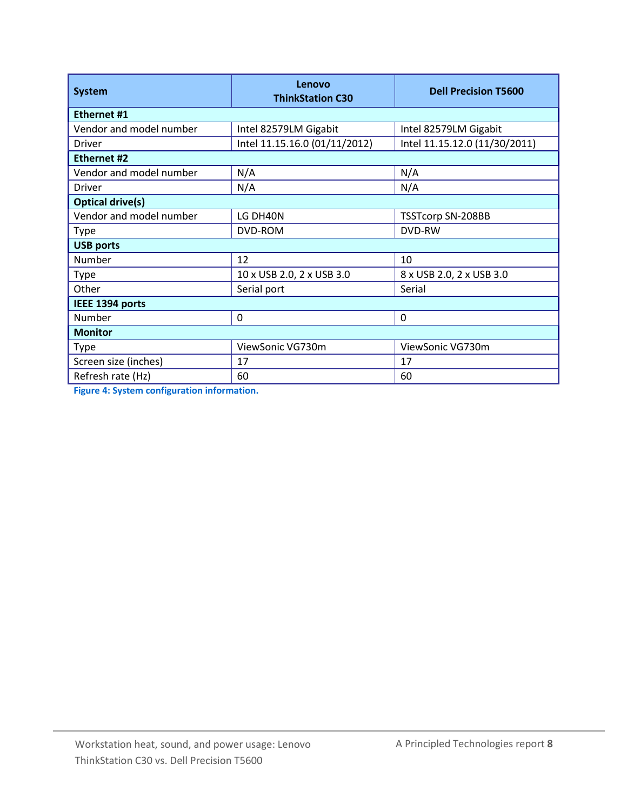| <b>System</b>           | Lenovo<br><b>ThinkStation C30</b> | <b>Dell Precision T5600</b>   |  |  |
|-------------------------|-----------------------------------|-------------------------------|--|--|
| <b>Ethernet #1</b>      |                                   |                               |  |  |
| Vendor and model number | Intel 82579LM Gigabit             | Intel 82579LM Gigabit         |  |  |
| Driver                  | Intel 11.15.16.0 (01/11/2012)     | Intel 11.15.12.0 (11/30/2011) |  |  |
| Ethernet #2             |                                   |                               |  |  |
| Vendor and model number | N/A                               | N/A                           |  |  |
| Driver                  | N/A                               | N/A                           |  |  |
| <b>Optical drive(s)</b> |                                   |                               |  |  |
| Vendor and model number | LG DH40N                          | <b>TSSTcorp SN-208BB</b>      |  |  |
| <b>Type</b>             | DVD-ROM                           | DVD-RW                        |  |  |
| <b>USB ports</b>        |                                   |                               |  |  |
| Number                  | 12                                | 10                            |  |  |
| <b>Type</b>             | 10 x USB 2.0, 2 x USB 3.0         | 8 x USB 2.0, 2 x USB 3.0      |  |  |
| Other                   | Serial port                       | Serial                        |  |  |
| IEEE 1394 ports         |                                   |                               |  |  |
| Number                  | 0                                 | 0                             |  |  |
| <b>Monitor</b>          |                                   |                               |  |  |
| <b>Type</b>             | ViewSonic VG730m                  | ViewSonic VG730m              |  |  |
| Screen size (inches)    | 17                                | 17                            |  |  |
| Refresh rate (Hz)       | 60                                | 60                            |  |  |

**Figure 4: System configuration information.**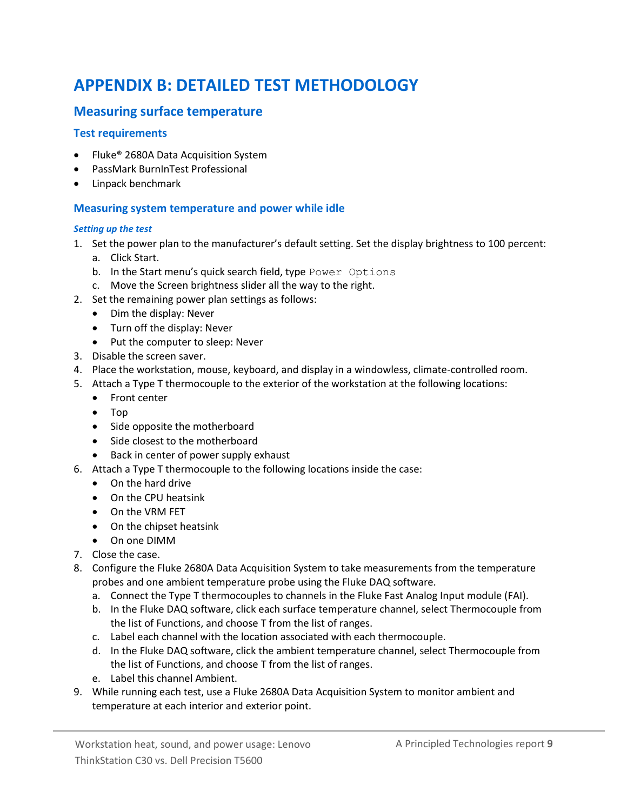# <span id="page-8-0"></span>**APPENDIX B: DETAILED TEST METHODOLOGY**

### **Measuring surface temperature**

#### **Test requirements**

- Fluke<sup>®</sup> 2680A Data Acquisition System
- PassMark BurnInTest Professional
- Linpack benchmark

#### **Measuring system temperature and power while idle**

#### *Setting up the test*

- 1. Set the power plan to the manufacturer's default setting. Set the display brightness to 100 percent:
	- a. Click Start.
	- b. In the Start menu's quick search field, type Power Options
	- c. Move the Screen brightness slider all the way to the right.
- 2. Set the remaining power plan settings as follows:
	- Dim the display: Never
	- Turn off the display: Never
	- Put the computer to sleep: Never
- 3. Disable the screen saver.
- 4. Place the workstation, mouse, keyboard, and display in a windowless, climate-controlled room.
- 5. Attach a Type T thermocouple to the exterior of the workstation at the following locations:
	- Front center
	- Top
	- Side opposite the motherboard
	- Side closest to the motherboard
	- Back in center of power supply exhaust
- 6. Attach a Type T thermocouple to the following locations inside the case:
	- On the hard drive
	- On the CPU heatsink
	- On the VRM FET
	- On the chipset heatsink
	- On one DIMM
- 7. Close the case.
- 8. Configure the Fluke 2680A Data Acquisition System to take measurements from the temperature probes and one ambient temperature probe using the Fluke DAQ software.
	- a. Connect the Type T thermocouples to channels in the Fluke Fast Analog Input module (FAI).
	- b. In the Fluke DAQ software, click each surface temperature channel, select Thermocouple from the list of Functions, and choose T from the list of ranges.
	- c. Label each channel with the location associated with each thermocouple.
	- d. In the Fluke DAQ software, click the ambient temperature channel, select Thermocouple from the list of Functions, and choose T from the list of ranges.
	- e. Label this channel Ambient.
- 9. While running each test, use a Fluke 2680A Data Acquisition System to monitor ambient and temperature at each interior and exterior point.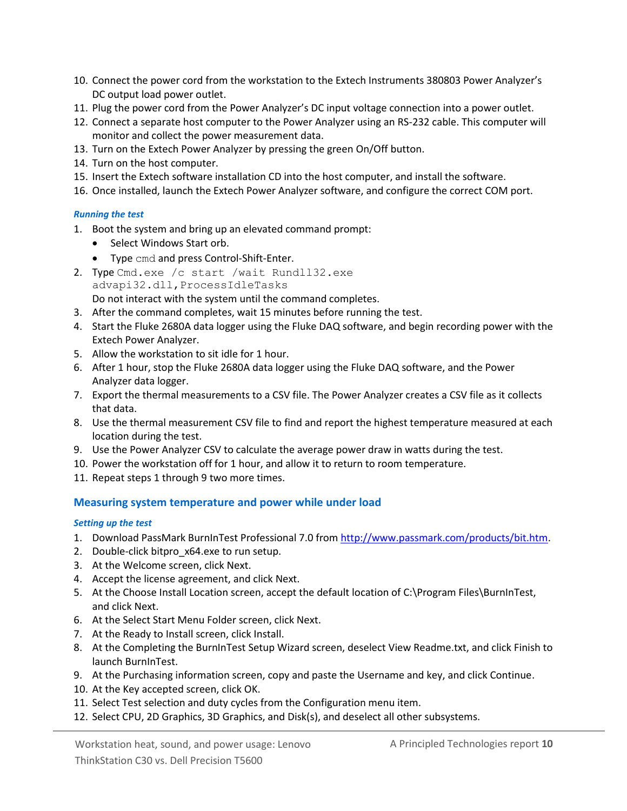- 10. Connect the power cord from the workstation to the Extech Instruments 380803 Power Analyzer's DC output load power outlet.
- 11. Plug the power cord from the Power Analyzer's DC input voltage connection into a power outlet.
- 12. Connect a separate host computer to the Power Analyzer using an RS-232 cable. This computer will monitor and collect the power measurement data.
- 13. Turn on the Extech Power Analyzer by pressing the green On/Off button.
- 14. Turn on the host computer.
- 15. Insert the Extech software installation CD into the host computer, and install the software.
- 16. Once installed, launch the Extech Power Analyzer software, and configure the correct COM port.

#### *Running the test*

- 1. Boot the system and bring up an elevated command prompt:
	- Select Windows Start orb.
	- Type cmd and press Control-Shift-Enter.
- 2. Type Cmd.exe /c start /wait Rundll32.exe advapi32.dll,ProcessIdleTasks Do not interact with the system until the command completes.
- 3. After the command completes, wait 15 minutes before running the test.
- 4. Start the Fluke 2680A data logger using the Fluke DAQ software, and begin recording power with the Extech Power Analyzer.
- 5. Allow the workstation to sit idle for 1 hour.
- 6. After 1 hour, stop the Fluke 2680A data logger using the Fluke DAQ software, and the Power Analyzer data logger.
- 7. Export the thermal measurements to a CSV file. The Power Analyzer creates a CSV file as it collects that data.
- 8. Use the thermal measurement CSV file to find and report the highest temperature measured at each location during the test.
- 9. Use the Power Analyzer CSV to calculate the average power draw in watts during the test.
- 10. Power the workstation off for 1 hour, and allow it to return to room temperature.
- 11. Repeat steps 1 through 9 two more times.

#### **Measuring system temperature and power while under load**

#### *Setting up the test*

- 1. Download PassMark BurnInTest Professional 7.0 fro[m http://www.passmark.com/products/bit.htm.](http://www.passmark.com/products/bit.htm)
- 2. Double-click bitpro\_x64.exe to run setup.
- 3. At the Welcome screen, click Next.
- 4. Accept the license agreement, and click Next.
- 5. At the Choose Install Location screen, accept the default location of C:\Program Files\BurnInTest, and click Next.
- 6. At the Select Start Menu Folder screen, click Next.
- 7. At the Ready to Install screen, click Install.
- 8. At the Completing the BurnInTest Setup Wizard screen, deselect View Readme.txt, and click Finish to launch BurnInTest.
- 9. At the Purchasing information screen, copy and paste the Username and key, and click Continue.
- 10. At the Key accepted screen, click OK.
- 11. Select Test selection and duty cycles from the Configuration menu item.
- 12. Select CPU, 2D Graphics, 3D Graphics, and Disk(s), and deselect all other subsystems.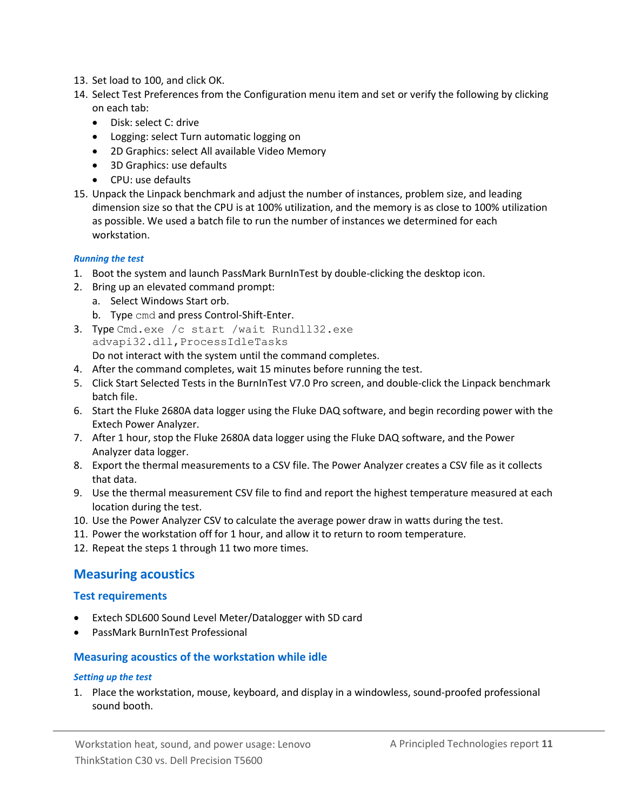- 13. Set load to 100, and click OK.
- 14. Select Test Preferences from the Configuration menu item and set or verify the following by clicking on each tab:
	- Disk: select C: drive
	- Logging: select Turn automatic logging on
	- 2D Graphics: select All available Video Memory
	- 3D Graphics: use defaults
	- CPU: use defaults
- 15. Unpack the Linpack benchmark and adjust the number of instances, problem size, and leading dimension size so that the CPU is at 100% utilization, and the memory is as close to 100% utilization as possible. We used a batch file to run the number of instances we determined for each workstation.

#### *Running the test*

- 1. Boot the system and launch PassMark BurnInTest by double-clicking the desktop icon.
- 2. Bring up an elevated command prompt:
	- a. Select Windows Start orb.
	- b. Type cmd and press Control-Shift-Enter.
- 3. Type Cmd.exe /c start /wait Rundll32.exe advapi32.dll,ProcessIdleTasks Do not interact with the system until the command completes.
- 4. After the command completes, wait 15 minutes before running the test.
- 5. Click Start Selected Tests in the BurnInTest V7.0 Pro screen, and double-click the Linpack benchmark batch file.
- 6. Start the Fluke 2680A data logger using the Fluke DAQ software, and begin recording power with the Extech Power Analyzer.
- 7. After 1 hour, stop the Fluke 2680A data logger using the Fluke DAQ software, and the Power Analyzer data logger.
- 8. Export the thermal measurements to a CSV file. The Power Analyzer creates a CSV file as it collects that data.
- 9. Use the thermal measurement CSV file to find and report the highest temperature measured at each location during the test.
- 10. Use the Power Analyzer CSV to calculate the average power draw in watts during the test.
- 11. Power the workstation off for 1 hour, and allow it to return to room temperature.
- 12. Repeat the steps 1 through 11 two more times.

#### **Measuring acoustics**

#### **Test requirements**

- Extech SDL600 Sound Level Meter/Datalogger with SD card
- PassMark BurnInTest Professional

#### **Measuring acoustics of the workstation while idle**

#### *Setting up the test*

1. Place the workstation, mouse, keyboard, and display in a windowless, sound-proofed professional sound booth.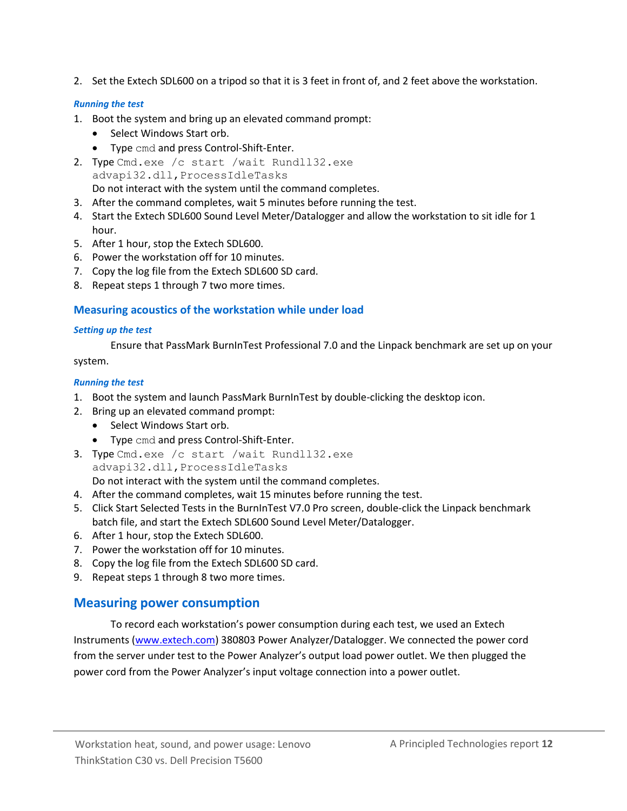2. Set the Extech SDL600 on a tripod so that it is 3 feet in front of, and 2 feet above the workstation.

#### *Running the test*

- 1. Boot the system and bring up an elevated command prompt:
	- Select Windows Start orb.
	- Type cmd and press Control-Shift-Enter.
- 2. Type Cmd.exe /c start /wait Rundll32.exe advapi32.dll,ProcessIdleTasks Do not interact with the system until the command completes.
- 3. After the command completes, wait 5 minutes before running the test.
- 4. Start the Extech SDL600 Sound Level Meter/Datalogger and allow the workstation to sit idle for 1 hour.
- 5. After 1 hour, stop the Extech SDL600.
- 6. Power the workstation off for 10 minutes.
- 7. Copy the log file from the Extech SDL600 SD card.
- 8. Repeat steps 1 through 7 two more times.

#### **Measuring acoustics of the workstation while under load**

#### *Setting up the test*

Ensure that PassMark BurnInTest Professional 7.0 and the Linpack benchmark are set up on your system.

#### *Running the test*

- 1. Boot the system and launch PassMark BurnInTest by double-clicking the desktop icon.
- 2. Bring up an elevated command prompt:
	- Select Windows Start orb.
	- Type cmd and press Control-Shift-Enter.
- 3. Type Cmd.exe /c start /wait Rundll32.exe advapi32.dll,ProcessIdleTasks Do not interact with the system until the command completes.
- 4. After the command completes, wait 15 minutes before running the test.
- 5. Click Start Selected Tests in the BurnInTest V7.0 Pro screen, double-click the Linpack benchmark batch file, and start the Extech SDL600 Sound Level Meter/Datalogger.
- 6. After 1 hour, stop the Extech SDL600.
- 7. Power the workstation off for 10 minutes.
- 8. Copy the log file from the Extech SDL600 SD card.
- 9. Repeat steps 1 through 8 two more times.

### **Measuring power consumption**

To record each workstation's power consumption during each test, we used an Extech Instruments [\(www.extech.com\)](http://www.extech.com/) 380803 Power Analyzer/Datalogger. We connected the power cord from the server under test to the Power Analyzer's output load power outlet. We then plugged the power cord from the Power Analyzer's input voltage connection into a power outlet.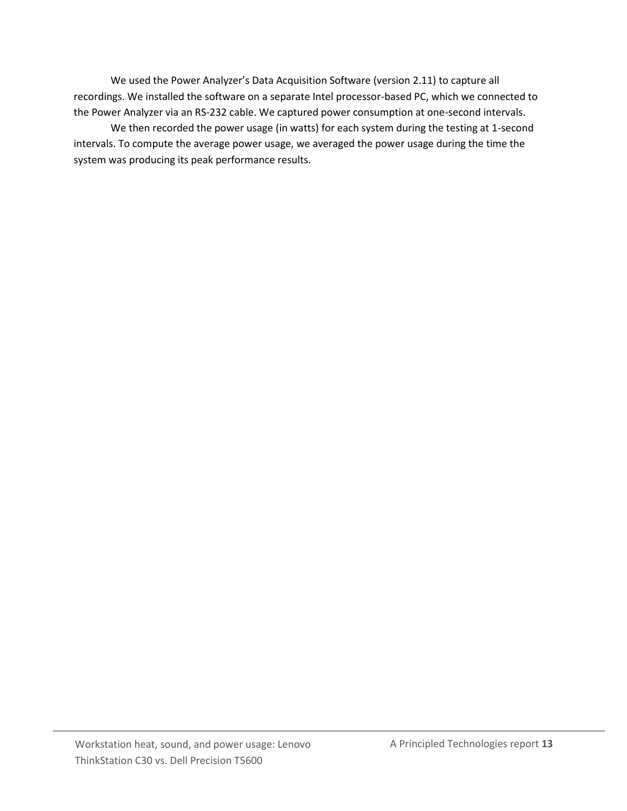We used the Power Analyzer's Data Acquisition Software (version 2.11) to capture all recordings. We installed the software on a separate Intel processor-based PC, which we connected to the Power Analyzer via an RS-232 cable. We captured power consumption at one-second intervals.

We then recorded the power usage (in watts) for each system during the testing at 1-second intervals. To compute the average power usage, we averaged the power usage during the time the system was producing its peak performance results.